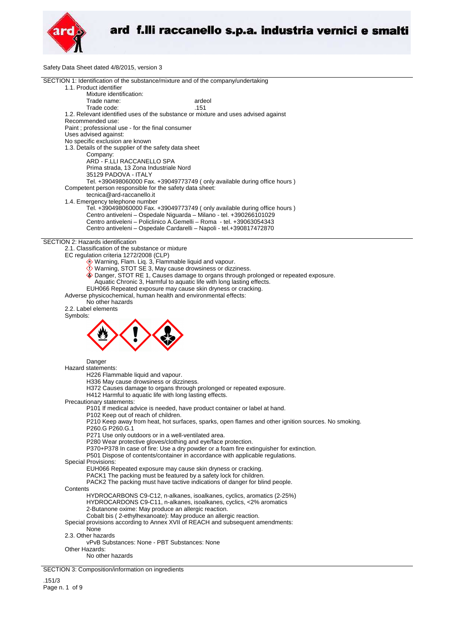

Safety Data Sheet dated 4/8/2015, version 3

| <b>Carely Bala Cricel dalog 4/0/2010,</b>                                                                                                        |
|--------------------------------------------------------------------------------------------------------------------------------------------------|
| SECTION 1: Identification of the substance/mixture and of the company/undertaking<br>1.1. Product identifier                                     |
| Mixture identification:                                                                                                                          |
| Trade name:<br>ardeol<br>.151<br>Trade code:                                                                                                     |
| 1.2. Relevant identified uses of the substance or mixture and uses advised against<br>Recommended use:                                           |
| Paint ; professional use - for the final consumer<br>Uses advised against:                                                                       |
| No specific exclusion are known                                                                                                                  |
| 1.3. Details of the supplier of the safety data sheet                                                                                            |
| Company:                                                                                                                                         |
| ARD - F.LLI RACCANELLO SPA<br>Prima strada, 13 Zona Industriale Nord                                                                             |
| 35129 PADOVA - ITALY                                                                                                                             |
| Tel. +390498060000 Fax. +39049773749 (only available during office hours)                                                                        |
| Competent person responsible for the safety data sheet:                                                                                          |
| tecnica@ard-raccanello.it                                                                                                                        |
| 1.4. Emergency telephone number                                                                                                                  |
| Tel. +390498060000 Fax. +39049773749 (only available during office hours)<br>Centro antiveleni - Ospedale Niguarda - Milano - tel. +390266101029 |
| Centro antiveleni - Policlinico A.Gemelli - Roma - tel. +39063054343                                                                             |
| Centro antiveleni - Ospedale Cardarelli - Napoli - tel.+390817472870                                                                             |
|                                                                                                                                                  |
| SECTION 2: Hazards identification                                                                                                                |
| 2.1. Classification of the substance or mixture<br>EC regulation criteria 1272/2008 (CLP)                                                        |
| Warning, Flam. Liq. 3, Flammable liquid and vapour.                                                                                              |
| Warning, STOT SE 3, May cause drowsiness or dizziness.                                                                                           |
| ♦ Danger, STOT RE 1, Causes damage to organs through prolonged or repeated exposure.                                                             |
| Aquatic Chronic 3, Harmful to aquatic life with long lasting effects.                                                                            |
| EUH066 Repeated exposure may cause skin dryness or cracking.                                                                                     |
| Adverse physicochemical, human health and environmental effects:<br>No other hazards                                                             |
| 2.2. Label elements                                                                                                                              |
| Symbols:                                                                                                                                         |
|                                                                                                                                                  |
|                                                                                                                                                  |
|                                                                                                                                                  |
|                                                                                                                                                  |
|                                                                                                                                                  |
| Danger                                                                                                                                           |
| Hazard statements:                                                                                                                               |
| H226 Flammable liquid and vapour.<br>H336 May cause drowsiness or dizziness.                                                                     |
| H372 Causes damage to organs through prolonged or repeated exposure.                                                                             |
| H412 Harmful to aquatic life with long lasting effects.                                                                                          |
| Precautionary statements:                                                                                                                        |
| P101 If medical advice is needed, have product container or label at hand.                                                                       |
| P102 Keep out of reach of children.                                                                                                              |
| P210 Keep away from heat, hot surfaces, sparks, open flames and other ignition sources. No smoking.<br>P260.G P260.G.1                           |
| P271 Use only outdoors or in a well-ventilated area.                                                                                             |
| P280 Wear protective gloves/clothing and eye/face protection.                                                                                    |
| P370+P378 In case of fire: Use a dry powder or a foam fire extinguisher for extinction.                                                          |
| P501 Dispose of contents/container in accordance with applicable regulations.                                                                    |
| <b>Special Provisions:</b><br>EUH066 Repeated exposure may cause skin dryness or cracking.                                                       |
| PACK1 The packing must be featured by a safety lock for children.                                                                                |
| PACK2 The packing must have tactive indications of danger for blind people.                                                                      |
| Contents                                                                                                                                         |
| HYDROCARBONS C9-C12, n-alkanes, isoalkanes, cyclics, aromatics (2-25%)                                                                           |
| HYDROCARDONS C9-C11, n-alkanes, isoalkanes, cyclics, <2% aromatics                                                                               |
| 2-Butanone oxime: May produce an allergic reaction.<br>Cobalt bis (2-ethylhexanoate): May produce an allergic reaction.                          |
| Special provisions according to Annex XVII of REACH and subsequent amendments:                                                                   |
| None                                                                                                                                             |
| 2.3. Other hazards                                                                                                                               |
| vPvB Substances: None - PBT Substances: None                                                                                                     |
| Other Hazards:                                                                                                                                   |
| No other hazards                                                                                                                                 |
| SECTION 3: Composition/information on ingredients                                                                                                |
|                                                                                                                                                  |

.151/3 Page n. 1 of 9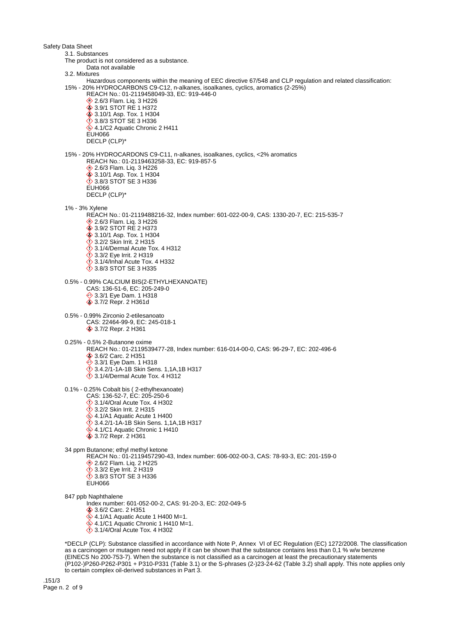Safety Data Sheet 3.1. Substances The product is not considered as a substance. Data not available 3.2. Mixtures Hazardous components within the meaning of EEC directive 67/548 and CLP regulation and related classification: 15% - 20% HYDROCARBONS C9-C12, n-alkanes, isoalkanes, cyclics, aromatics (2-25%) REACH No.: 01-2119458049-33, EC: 919-446-0 **♦ 2.6/3 Flam. Liq. 3 H226 ♦ 3.9/1 STOT RE 1 H372**  3.10/1 Asp. Tox. 1 H304 3.8/3 STOT SE 3 H336 4.1/C2 Aquatic Chronic 2 H411 EUH066 DECLP (CLP)\* 15% - 20% HYDROCARDONS C9-C11, n-alkanes, isoalkanes, cyclics, <2% aromatics REACH No.: 01-2119463258-33, EC: 919-857-5 **◆ 2.6/3 Flam. Liq. 3 H226**  3.10/1 Asp. Tox. 1 H304 3.8/3 STOT SE 3 H336 EUH066 DECLP (CLP)\* 1% - 3% Xylene REACH No.: 01-2119488216-32, Index number: 601-022-00-9, CAS: 1330-20-7, EC: 215-535-7 **♦ 2.6/3 Flam. Liq. 3 H226 ♦ 3.9/2 STOT RE 2 H373 ♦ 3.10/1 Asp. Tox. 1 H304** 3.2/2 Skin Irrit. 2 H315  $\ddot{\diamond}$  3.1/4/Dermal Acute Tox. 4 H312 **3.3/2 Eye Irrit. 2 H319**  $\Diamond$  3.1/4/Inhal Acute Tox. 4 H332 3.8/3 STOT SE 3 H335 0.5% - 0.99% CALCIUM BIS(2-ETHYLHEXANOATE) CAS: 136-51-6, EC: 205-249-0 **♦ 3.3/1 Eye Dam. 1 H318 ♦ 3.7/2 Repr. 2 H361d** 0.5% - 0.99% Zirconio 2-etilesanoato CAS: 22464-99-9, EC: 245-018-1 3.7/2 Repr. 2 H361 0.25% - 0.5% 2-Butanone oxime REACH No.: 01-2119539477-28, Index number: 616-014-00-0, CAS: 96-29-7, EC: 202-496-6 3.6/2 Carc. 2 H351 **♦ 3.3/1 Eye Dam. 1 H318**  3.4.2/1-1A-1B Skin Sens. 1,1A,1B H317 3.1/4/Dermal Acute Tox. 4 H312 0.1% - 0.25% Cobalt bis ( 2-ethylhexanoate) CAS: 136-52-7, EC: 205-250-6 3.1/4/Oral Acute Tox. 4 H302 3.2/2 Skin Irrit. 2 H315  $4.1/A1$  Aquatic Acute 1 H400 3.4.2/1-1A-1B Skin Sens. 1,1A,1B H317  $4.1/C1$  Aquatic Chronic 1 H410 **♦ 3.7/2 Repr. 2 H361** 34 ppm Butanone; ethyl methyl ketone REACH No.: 01-2119457290-43, Index number: 606-002-00-3, CAS: 78-93-3, EC: 201-159-0 2.6/2 Flam. Liq. 2 H225 3.3/2 Eye Irrit. 2 H319 3.8/3 STOT SE 3 H336 ELIHO66 847 ppb Naphthalene Index number: 601-052-00-2, CAS: 91-20-3, EC: 202-049-5 3.6/2 Carc. 2 H351  $4.1/A1$  Aquatic Acute 1 H400 M=1.  $4.1/C1$  Aquatic Chronic 1 H410 M=1.  $\ddot{\diamond}$  3.1/4/Oral Acute Tox. 4 H302 \*DECLP (CLP): Substance classified in accordance with Note P, Annex VI of EC Regulation (EC) 1272/2008. The classification as a carcinogen or mutagen need not apply if it can be shown that the substance contains less than 0,1 % w/w benzene (EINECS No 200-753-7). When the substance is not classified as a carcinogen at least the precautionary statements

(P102-)P260-P262-P301 + P310-P331 (Table 3.1) or the S-phrases (2-)23-24-62 (Table 3.2) shall apply. This note applies only to certain complex oil-derived substances in Part 3.

.151/3 Page n. 2 of 9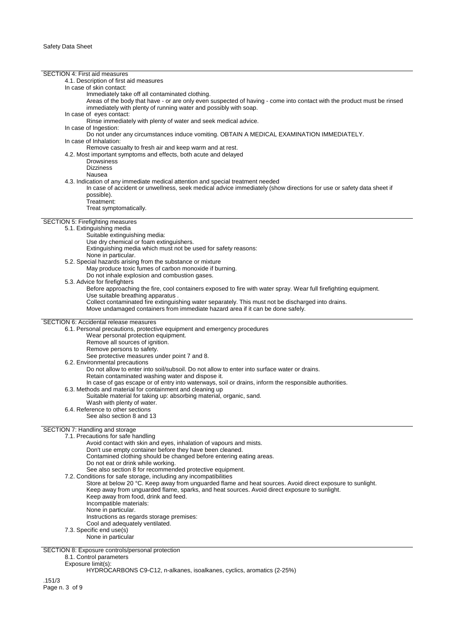SECTION 4: First aid measures 4.1. Description of first aid measures In case of skin contact: Immediately take off all contaminated clothing. Areas of the body that have - or are only even suspected of having - come into contact with the product must be rinsed immediately with plenty of running water and possibly with soap. In case of eyes contact: Rinse immediately with plenty of water and seek medical advice. In case of Ingestion: Do not under any circumstances induce vomiting. OBTAIN A MEDICAL EXAMINATION IMMEDIATELY. In case of Inhalation: Remove casualty to fresh air and keep warm and at rest. 4.2. Most important symptoms and effects, both acute and delayed Drowsiness Dizziness Nausea 4.3. Indication of any immediate medical attention and special treatment needed In case of accident or unwellness, seek medical advice immediately (show directions for use or safety data sheet if possible). Treatment: Treat symptomatically. SECTION 5: Firefighting measures 5.1. Extinguishing media Suitable extinguishing media: Use dry chemical or foam extinguishers. Extinguishing media which must not be used for safety reasons: None in particular. 5.2. Special hazards arising from the substance or mixture May produce toxic fumes of carbon monoxide if burning. Do not inhale explosion and combustion gases. 5.3. Advice for firefighters Before approaching the fire, cool containers exposed to fire with water spray. Wear full firefighting equipment. Use suitable breathing apparatus . Collect contaminated fire extinguishing water separately. This must not be discharged into drains. Move undamaged containers from immediate hazard area if it can be done safely. SECTION 6: Accidental release measures 6.1. Personal precautions, protective equipment and emergency procedures Wear personal protection equipment. Remove all sources of ignition. Remove persons to safety. See protective measures under point 7 and 8. 6.2. Environmental precautions Do not allow to enter into soil/subsoil. Do not allow to enter into surface water or drains. Retain contaminated washing water and dispose it. In case of gas escape or of entry into waterways, soil or drains, inform the responsible authorities. 6.3. Methods and material for containment and cleaning up Suitable material for taking up: absorbing material, organic, sand. Wash with plenty of water. 6.4. Reference to other sections See also section 8 and 13 SECTION 7: Handling and storage 7.1. Precautions for safe handling Avoid contact with skin and eyes, inhalation of vapours and mists. Don't use empty container before they have been cleaned. Contamined clothing should be changed before entering eating areas. Do not eat or drink while working. See also section 8 for recommended protective equipment. 7.2. Conditions for safe storage, including any incompatibilities Store at below 20 °C. Keep away from unguarded flame and heat sources. Avoid direct exposure to sunlight. Keep away from unguarded flame, sparks, and heat sources. Avoid direct exposure to sunlight. Keep away from food, drink and feed. Incompatible materials: None in particular. Instructions as regards storage premises: Cool and adequately ventilated. 7.3. Specific end use(s) None in particular SECTION 8: Exposure controls/personal protection 8.1. Control parameters Exposure limit(s): HYDROCARBONS C9-C12, n-alkanes, isoalkanes, cyclics, aromatics (2-25%)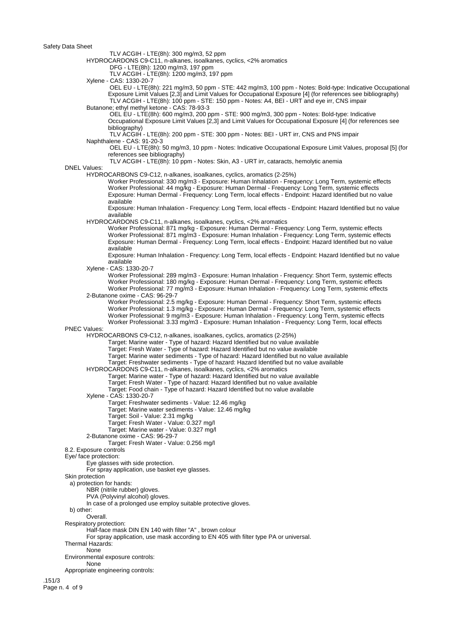Safety Data Sheet

TLV ACGIH - LTE(8h): 300 mg/m3, 52 ppm

HYDROCARDONS C9-C11, n-alkanes, isoalkanes, cyclics, <2% aromatics

DFG - LTE(8h): 1200 mg/m3, 197 ppm

TLV ACGIH - LTE(8h): 1200 mg/m3, 197 ppm

Xylene - CAS: 1330-20-7

 OEL EU - LTE(8h): 221 mg/m3, 50 ppm - STE: 442 mg/m3, 100 ppm - Notes: Bold-type: Indicative Occupational Exposure Limit Values [2,3] and Limit Values for Occupational Exposure [4] (for references see bibliography) TLV ACGIH - LTE(8h): 100 ppm - STE: 150 ppm - Notes: A4, BEI - URT and eye irr, CNS impair Butanone: ethyl methyl ketone - CAS: 78-93-3

 OEL EU - LTE(8h): 600 mg/m3, 200 ppm - STE: 900 mg/m3, 300 ppm - Notes: Bold-type: Indicative Occupational Exposure Limit Values [2,3] and Limit Values for Occupational Exposure [4] (for references see bibliography)

 TLV ACGIH - LTE(8h): 200 ppm - STE: 300 ppm - Notes: BEI - URT irr, CNS and PNS impair Naphthalene - CAS: 91-20-3

 OEL EU - LTE(8h): 50 mg/m3, 10 ppm - Notes: Indicative Occupational Exposure Limit Values, proposal [5] (for references see bibliography)

TLV ACGIH - LTE(8h): 10 ppm - Notes: Skin, A3 - URT irr, cataracts, hemolytic anemia

## DNEL Values:

HYDROCARBONS C9-C12, n-alkanes, isoalkanes, cyclics, aromatics (2-25%)

Worker Professional: 330 mg/m3 - Exposure: Human Inhalation - Frequency: Long Term, systemic effects Worker Professional: 44 mg/kg - Exposure: Human Dermal - Frequency: Long Term, systemic effects Exposure: Human Dermal - Frequency: Long Term, local effects - Endpoint: Hazard Identified but no value available

Exposure: Human Inhalation - Frequency: Long Term, local effects - Endpoint: Hazard Identified but no value available

HYDROCARDONS C9-C11, n-alkanes, isoalkanes, cyclics, <2% aromatics

Worker Professional: 871 mg/kg - Exposure: Human Dermal - Frequency: Long Term, systemic effects Worker Professional: 871 mg/m3 - Exposure: Human Inhalation - Frequency: Long Term, systemic effects Exposure: Human Dermal - Frequency: Long Term, local effects - Endpoint: Hazard Identified but no value available

Exposure: Human Inhalation - Frequency: Long Term, local effects - Endpoint: Hazard Identified but no value available

Xylene - CAS: 1330-20-7

Worker Professional: 289 mg/m3 - Exposure: Human Inhalation - Frequency: Short Term, systemic effects Worker Professional: 180 mg/kg - Exposure: Human Dermal - Frequency: Long Term, systemic effects Worker Professional: 77 mg/m3 - Exposure: Human Inhalation - Frequency: Long Term, systemic effects 2-Butanone oxime - CAS: 96-29-7

Worker Professional: 2.5 mg/kg - Exposure: Human Dermal - Frequency: Short Term, systemic effects Worker Professional: 1.3 mg/kg - Exposure: Human Dermal - Frequency: Long Term, systemic effects Worker Professional: 9 mg/m3 - Exposure: Human Inhalation - Frequency: Long Term, systemic effects Worker Professional: 3.33 mg/m3 - Exposure: Human Inhalation - Frequency: Long Term, local effects

#### PNEC Values:

HYDROCARBONS C9-C12, n-alkanes, isoalkanes, cyclics, aromatics (2-25%)

Target: Marine water - Type of hazard: Hazard Identified but no value available

Target: Fresh Water - Type of hazard: Hazard Identified but no value available

Target: Marine water sediments - Type of hazard: Hazard Identified but no value available

Target: Freshwater sediments - Type of hazard: Hazard Identified but no value available

HYDROCARDONS C9-C11, n-alkanes, isoalkanes, cyclics, <2% aromatics

Target: Marine water - Type of hazard: Hazard Identified but no value available Target: Fresh Water - Type of hazard: Hazard Identified but no value available

Target: Food chain - Type of hazard: Hazard Identified but no value available

Xylene - CAS: 1330-20-7

Target: Freshwater sediments - Value: 12.46 mg/kg Target: Marine water sediments - Value: 12.46 mg/kg

Target: Soil - Value: 2.31 mg/kg

Target: Fresh Water - Value: 0.327 mg/l

Target: Marine water - Value: 0.327 mg/l

2-Butanone oxime - CAS: 96-29-7

Target: Fresh Water - Value: 0.256 mg/l

Eye/ face protection:

Eye glasses with side protection.

For spray application, use basket eye glasses.

Skin protection

a) protection for hands:

NBR (nitrile rubber) gloves.

PVA (Polyvinyl alcohol) gloves.

In case of a prolonged use employ suitable protective gloves.

b) other:

Overall.

Respiratory protection:

Half-face mask DIN EN 140 with filter "A" , brown colour

For spray application, use mask according to EN 405 with filter type PA or universal.

Thermal Hazards:

None

Environmental exposure controls:

None

Appropriate engineering controls:

.151/3 Page n. 4 of 9

<sup>8.2.</sup> Exposure controls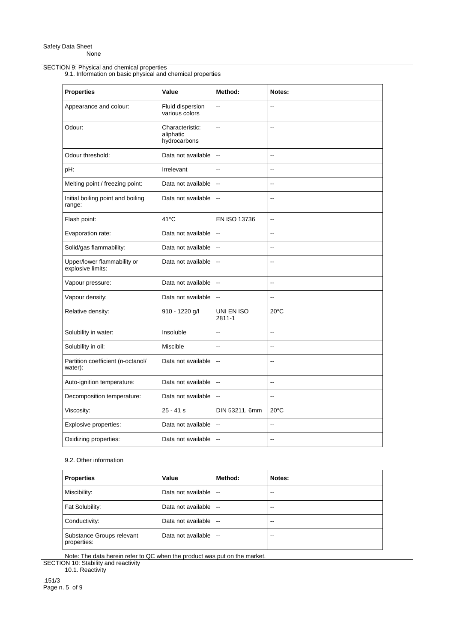## SECTION 9: Physical and chemical properties

9.1. Information on basic physical and chemical properties

| <b>Properties</b>                                | Value                                        | Method:                  | Notes:                   |
|--------------------------------------------------|----------------------------------------------|--------------------------|--------------------------|
| Appearance and colour:                           | Fluid dispersion<br>various colors           | $\overline{\phantom{a}}$ | Ξ.                       |
| Odour:                                           | Characteristic:<br>aliphatic<br>hydrocarbons | $\overline{\phantom{a}}$ | --                       |
| Odour threshold:                                 | Data not available                           | $\ddotsc$                | Ξ.                       |
| pH:                                              | Irrelevant                                   | $\overline{a}$           | ۵.                       |
| Melting point / freezing point:                  | Data not available                           | $\ddot{\phantom{a}}$     |                          |
| Initial boiling point and boiling<br>range:      | Data not available                           | $\overline{\phantom{a}}$ |                          |
| Flash point:                                     | 41°C                                         | EN ISO 13736             | Ξ.                       |
| Evaporation rate:                                | Data not available                           | $\ddotsc$                | ۵.                       |
| Solid/gas flammability:                          | Data not available                           | $\overline{\phantom{a}}$ | ۵.                       |
| Upper/lower flammability or<br>explosive limits: | Data not available                           | $\overline{\phantom{a}}$ | ۵.                       |
| Vapour pressure:                                 | Data not available                           | $\sim$                   | ۵.                       |
| Vapour density:                                  | Data not available                           | $\ddotsc$                | Ξ.                       |
| Relative density:                                | 910 - 1220 g/l                               | UNI EN ISO<br>2811-1     | $20^{\circ}$ C           |
| Solubility in water:                             | Insoluble                                    | $-$                      | $\overline{\phantom{a}}$ |
| Solubility in oil:                               | Miscible                                     | Ξ.                       | $\overline{\phantom{a}}$ |
| Partition coefficient (n-octanol/<br>water):     | Data not available                           | $\overline{\phantom{a}}$ | ۵.                       |
| Auto-ignition temperature:                       | Data not available                           | $\ddotsc$                | Ξ.                       |
| Decomposition temperature:                       | Data not available                           | $\overline{\phantom{a}}$ | --                       |
| Viscosity:                                       | $25 - 41 s$                                  | DIN 53211, 6mm           | $20^{\circ}$ C           |
| Explosive properties:                            | Data not available                           | $\overline{\phantom{a}}$ | $\overline{\phantom{a}}$ |
| Oxidizing properties:                            | Data not available                           | $\overline{\phantom{a}}$ | $-$                      |

# 9.2. Other information

| <b>Properties</b>                        | Value              | Method:                  | Notes: |
|------------------------------------------|--------------------|--------------------------|--------|
| Miscibility:                             | Data not available | $\overline{\phantom{a}}$ | --     |
| Fat Solubility:                          | Data not available | $\overline{\phantom{a}}$ | --     |
| Conductivity:                            | Data not available | $\sim$                   | --     |
| Substance Groups relevant<br>properties: | Data not available | $\sim$                   | --     |

Note: The data herein refer to QC when the product was put on the market.

SECTION 10: Stability and reactivity 10.1. Reactivity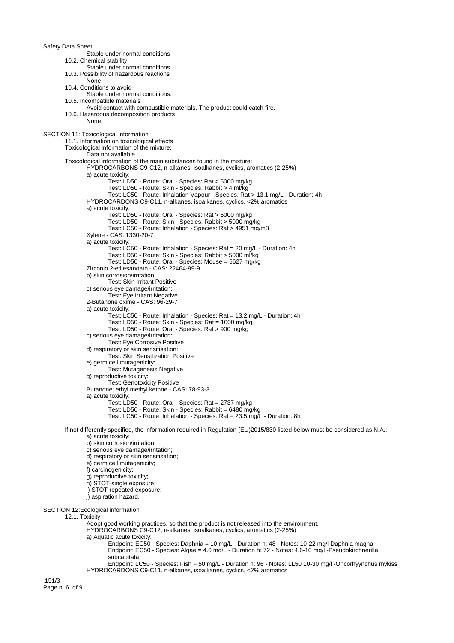Safety Data Sheet Stable under normal conditions 10.2. Chemical stability Stable under normal conditions 10.3. Possibility of hazardous reactions None 10.4. Conditions to avoid Stable under normal conditions. 10.5. Incompatible materials Avoid contact with combustible materials. The product could catch fire. 10.6. Hazardous decomposition products None. SECTION 11: Toxicological information 11.1. Information on toxicological effects Toxicological information of the mixture: Data not available Toxicological information of the main substances found in the mixture: HYDROCARBONS C9-C12, n-alkanes, isoalkanes, cyclics, aromatics (2-25%) a) acute toxicity: Test: LD50 - Route: Oral - Species: Rat > 5000 mg/kg Test: LD50 - Route: Skin - Species: Rabbit > 4 ml/kg Test: LC50 - Route: Inhalation Vapour - Species: Rat > 13.1 mg/L - Duration: 4h HYDROCARDONS C9-C11, n-alkanes, isoalkanes, cyclics, <2% aromatics a) acute toxicity: Test: LD50 - Route: Oral - Species: Rat > 5000 mg/kg Test: LD50 - Route: Skin - Species: Rabbit > 5000 mg/kg Test: LC50 - Route: Inhalation - Species: Rat > 4951 mg/m3 Xylene - CAS: 1330-20-7 a) acute toxicity: Test: LC50 - Route: Inhalation - Species: Rat = 20 mg/L - Duration: 4h Test: LD50 - Route: Skin - Species: Rabbit > 5000 ml/kg Test: LD50 - Route: Oral - Species: Mouse = 5627 mg/kg Zirconio 2-etilesanoato - CAS: 22464-99-9 b) skin corrosion/irritation: Test: Skin Irritant Positive c) serious eye damage/irritation: Test: Eye Irritant Negative 2-Butanone oxime - CAS: 96-29-7 a) acute toxicity: Test: LC50 - Route: Inhalation - Species: Rat = 13.2 mg/L - Duration: 4h Test: LD50 - Route: Skin - Species: Rat = 1000 mg/kg Test: LD50 - Route: Oral - Species: Rat > 900 mg/kg c) serious eye damage/irritation: Test: Eye Corrosive Positive d) respiratory or skin sensitisation: Test: Skin Sensitization Positive e) germ cell mutagenicity: Test: Mutagenesis Negative g) reproductive toxicity: Test: Genotoxicity Positive Butanone; ethyl methyl ketone - CAS: 78-93-3 a) acute toxicity: Test: LD50 - Route: Oral - Species: Rat = 2737 mg/kg Test: LD50 - Route: Skin - Species: Rabbit = 6480 mg/kg Test: LC50 - Route: Inhalation - Species: Rat = 23.5 mg/L - Duration: 8h If not differently specified, the information required in Regulation (EU)2015/830 listed below must be considered as N.A.: a) acute toxicity; b) skin corrosion/irritation; c) serious eye damage/irritation; d) respiratory or skin sensitisation; e) germ cell mutagenicity; f) carcinogenicity; g) reproductive toxicity: h) STOT-single exposure; i) STOT-repeated exposure; j) aspiration hazard.

SECTION 12:Ecological information

### 12.1. Toxicity

Adopt good working practices, so that the product is not released into the environment.

HYDROCARBONS C9-C12, n-alkanes, isoalkanes, cyclics, aromatics (2-25%)

a) Aquatic acute toxicity:

Endpoint: EC50 - Species: Daphnia = 10 mg/L - Duration h: 48 - Notes: 10-22 mg/l Daphnia magna Endpoint: EC50 - Species: Algae = 4.6 mg/L - Duration h: 72 - Notes: 4.6-10 mg/l -Pseudokirchnerilla subcapitata

Endpoint: LC50 - Species: Fish = 50 mg/L - Duration h: 96 - Notes: LL50 10-30 mg/l -Oncorhyynchus mykiss HYDROCARDONS C9-C11, n-alkanes, isoalkanes, cyclics, <2% aromatics

.151/3 Page n. 6 of 9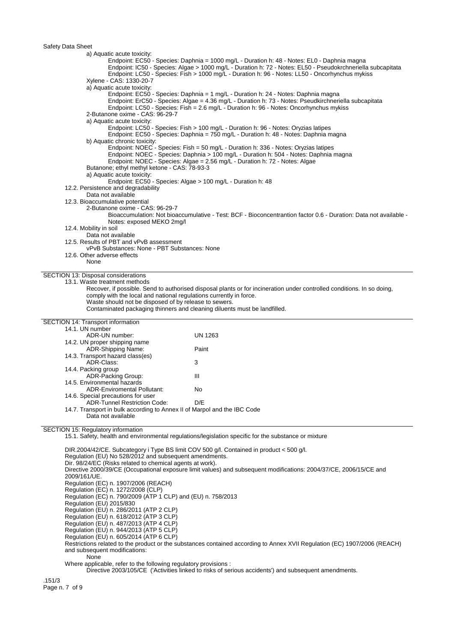Safety Data Sheet

a) Aquatic acute toxicity: Endpoint: EC50 - Species: Daphnia = 1000 mg/L - Duration h: 48 - Notes: EL0 - Daphnia magna Endpoint: IC50 - Species: Algae > 1000 mg/L - Duration h: 72 - Notes: EL50 - Pseudokrchneriella subcapitata Endpoint: LC50 - Species: Fish > 1000 mg/L - Duration h: 96 - Notes: LL50 - Oncorhynchus mykiss Xylene - CAS: 1330-20-7 a) Aquatic acute toxicity: Endpoint: EC50 - Species: Daphnia = 1 mg/L - Duration h: 24 - Notes: Daphnia magna Endpoint: ErC50 - Species: Algae = 4.36 mg/L - Duration h: 73 - Notes: Pseudkirchneriella subcapitata Endpoint: LC50 - Species: Fish = 2.6 mg/L - Duration h: 96 - Notes: Oncorhynchus mykiss 2-Butanone oxime - CAS: 96-29-7 a) Aquatic acute toxicity: Endpoint: LC50 - Species: Fish > 100 mg/L - Duration h: 96 - Notes: Oryzias latipes Endpoint: EC50 - Species: Daphnia = 750 mg/L - Duration h: 48 - Notes: Daphnia magna b) Aquatic chronic toxicity: Endpoint: NOEC - Species: Fish = 50 mg/L - Duration h: 336 - Notes: Oryzias latipes Endpoint: NOEC - Species: Daphnia > 100 mg/L - Duration h: 504 - Notes: Daphnia magna Endpoint: NOEC - Species: Algae = 2.56 mg/L - Duration h: 72 - Notes: Algae Butanone; ethyl methyl ketone - CAS: 78-93-3 a) Aquatic acute toxicity: Endpoint: EC50 - Species: Algae > 100 mg/L - Duration h: 48 12.2. Persistence and degradability Data not available 12.3. Bioaccumulative potential 2-Butanone oxime - CAS: 96-29-7 Bioaccumulation: Not bioaccumulative - Test: BCF - Bioconcentrantion factor 0.6 - Duration: Data not available - Notes: exposed MEKO 2mg/l 12.4. Mobility in soil Data not available 12.5. Results of PBT and vPvB assessment vPvB Substances: None - PBT Substances: None 12.6. Other adverse effects None SECTION 13: Disposal considerations 13.1. Waste treatment methods Recover, if possible. Send to authorised disposal plants or for incineration under controlled conditions. In so doing, comply with the local and national regulations currently in force. Waste should not be disposed of by release to sewers. Contaminated packaging thinners and cleaning diluents must be landfilled. SECTION 14: Transport information 14.1. UN number ADR-UN number: UN 1263 14.2. UN proper shipping name ADR-Shipping Name: Paint 14.3. Transport hazard class(es) ADR-Class: 3 14.4. Packing group ADR-Packing Group: III 14.5. Environmental hazards ADR-Enviromental Pollutant: No 14.6. Special precautions for user ADR-Tunnel Restriction Code: D/E 14.7. Transport in bulk according to Annex II of Marpol and the IBC Code Data not available SECTION 15: Regulatory information 15.1. Safety, health and environmental regulations/legislation specific for the substance or mixture DIR.2004/42/CE. Subcategory i Type BS limit COV 500 g/l. Contained in product < 500 g/l. Regulation (EU) No 528/2012 and subsequent amendments. Dir. 98/24/EC (Risks related to chemical agents at work). Directive 2000/39/CE (Occupational exposure limit values) and subsequent modifications: 2004/37/CE, 2006/15/CE and 2009/161/UE. Regulation (EC) n. 1907/2006 (REACH) Regulation (EC) n. 1272/2008 (CLP) Regulation (EC) n. 790/2009 (ATP 1 CLP) and (EU) n. 758/2013 Regulation (EU) 2015/830 Regulation (EU) n. 286/2011 (ATP 2 CLP) Regulation (EU) n. 618/2012 (ATP 3 CLP) Regulation (EU) n. 487/2013 (ATP 4 CLP) Regulation (EU) n. 944/2013 (ATP 5 CLP) Regulation (EU) n. 605/2014 (ATP 6 CLP) Restrictions related to the product or the substances contained according to Annex XVII Regulation (EC) 1907/2006 (REACH) and subsequent modifications:

**None** 

Where applicable, refer to the following regulatory provisions :

Directive 2003/105/CE ('Activities linked to risks of serious accidents') and subsequent amendments.

.151/3 Page n. 7 of 9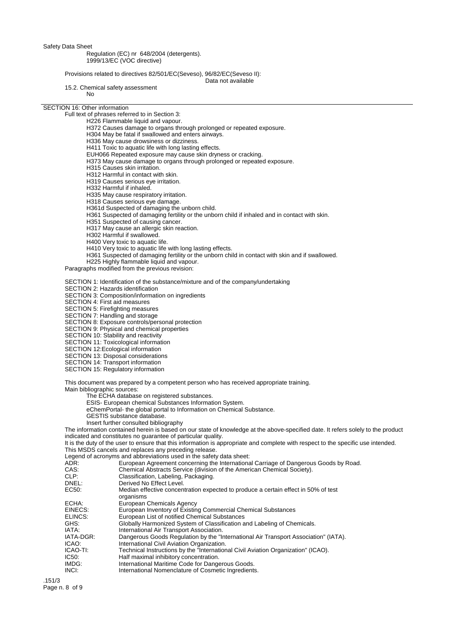Safety Data Sheet

## Regulation (EC) nr 648/2004 (detergents). 1999/13/EC (VOC directive)

Provisions related to directives 82/501/EC(Seveso), 96/82/EC(Seveso II):

Data not available

15.2. Chemical safety assessment No

### SECTION 16: Other information

Full text of phrases referred to in Section 3:

- H226 Flammable liquid and vapour.
- H372 Causes damage to organs through prolonged or repeated exposure.
- H304 May be fatal if swallowed and enters airways.
- H336 May cause drowsiness or dizziness.
- H411 Toxic to aquatic life with long lasting effects.
- EUH066 Repeated exposure may cause skin dryness or cracking.
- H373 May cause damage to organs through prolonged or repeated exposure.
- H315 Causes skin irritation.
- H312 Harmful in contact with skin.
- H319 Causes serious eye irritation.
- H332 Harmful if inhaled.
- H335 May cause respiratory irritation.
- H318 Causes serious eye damage.
- H361d Suspected of damaging the unborn child.
- H361 Suspected of damaging fertility or the unborn child if inhaled and in contact with skin.
- H351 Suspected of causing cancer.
- H317 May cause an allergic skin reaction.
- H302 Harmful if swallowed.
- H400 Very toxic to aquatic life.
- H410 Very toxic to aquatic life with long lasting effects.
- H361 Suspected of damaging fertility or the unborn child in contact with skin and if swallowed.
- H225 Highly flammable liquid and vapour.

Paragraphs modified from the previous revision:

SECTION 1: Identification of the substance/mixture and of the company/undertaking

SECTION 2: Hazards identification

SECTION 3: Composition/information on ingredients

- SECTION 4: First aid measures
- SECTION 5: Firefighting measures

SECTION 7: Handling and storage

- SECTION 8: Exposure controls/personal protection
- SECTION 9: Physical and chemical properties
- SECTION 10: Stability and reactivity
- SECTION 11: Toxicological information
- SECTION 12:Ecological information
- SECTION 13: Disposal considerations
- SECTION 14: Transport information
- SECTION 15: Regulatory information

This document was prepared by a competent person who has received appropriate training. Main bibliographic sources:

- The ECHA database on registered substances.
- ESIS- European chemical Substances Information System.
- eChemPortal- the global portal to Information on Chemical Substance.
- GESTIS substance database.
- Insert further consulted bibliography

The information contained herein is based on our state of knowledge at the above-specified date. It refers solely to the product indicated and constitutes no guarantee of particular quality.

It is the duty of the user to ensure that this information is appropriate and complete with respect to the specific use intended. This MSDS cancels and replaces any preceding release.

Legend of acronyms and abbreviations used in the safety data sheet:<br>ADR: European Agreement concerning the Internationa

- ADR: European Agreement concerning the International Carriage of Dangerous Goods by Road.<br>CAS: Chemical Abstracts Service (division of the American Chemical Society).
- CAS: Chemical Abstracts Service (division of the American Chemical Society).<br>CLP: Classification. Labeling. Packaging.
	- Classification, Labeling, Packaging.

| DNEL:              | Derived No Effect Level.                                                                                                          |
|--------------------|-----------------------------------------------------------------------------------------------------------------------------------|
| EC50:              | Median effective concentration expected to produce a certain effect in 50% of test<br>organisms                                   |
| ECHA:              | European Chemicals Agency                                                                                                         |
| EINECS:            | European Inventory of Existing Commercial Chemical Substances                                                                     |
| ELINCS:            | European List of notified Chemical Substances                                                                                     |
| GHS:               | Globally Harmonized System of Classification and Labeling of Chemicals.                                                           |
| IATA:              | International Air Transport Association.                                                                                          |
| IATA-DGR:<br>ICAO: | Dangerous Goods Regulation by the "International Air Transport Association" (IATA).<br>International Civil Aviation Organization. |
| ICAO-TI:           | Technical Instructions by the "International Civil Aviation Organization" (ICAO).                                                 |
| IC50:              | Half maximal inhibitory concentration.                                                                                            |
| IMDG:              | International Maritime Code for Dangerous Goods.                                                                                  |
| INCI:              | International Nomenclature of Cosmetic Ingredients.                                                                               |
|                    |                                                                                                                                   |

.151/3 Page n. 8 of 9